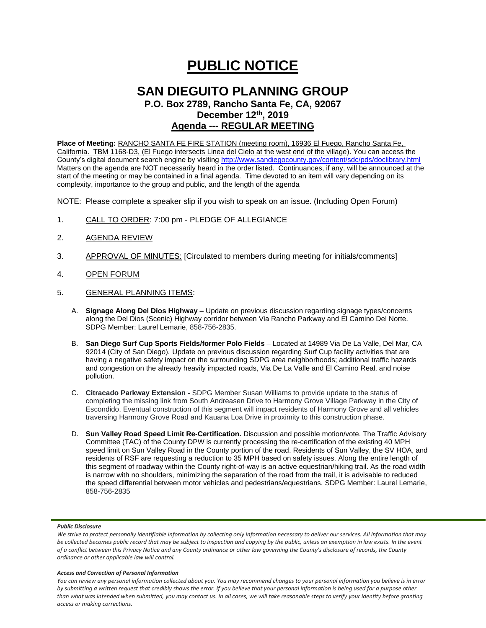# **PUBLIC NOTICE**

# **SAN DIEGUITO PLANNING GROUP**

**P.O. Box 2789, Rancho Santa Fe, CA, 92067 December 12 th, 2019 Agenda --- REGULAR MEETING**

**Place of Meeting:** RANCHO SANTA FE FIRE STATION (meeting room), 16936 El Fuego, Rancho Santa Fe, California. TBM 1168-D3, (El Fuego intersects Linea del Cielo at the west end of the village). You can access the County's digital document search engine by visitin[g http://www.sandiegocounty.gov/content/sdc/pds/doclibrary.html](http://www.sandiegocounty.gov/content/sdc/pds/doclibrary.html) Matters on the agenda are NOT necessarily heard in the order listed. Continuances, if any, will be announced at the start of the meeting or may be contained in a final agenda. Time devoted to an item will vary depending on its complexity, importance to the group and public, and the length of the agenda

NOTE: Please complete a speaker slip if you wish to speak on an issue. (Including Open Forum)

- 1. CALL TO ORDER: 7:00 pm PLEDGE OF ALLEGIANCE
- 2. AGENDA REVIEW
- 3. APPROVAL OF MINUTES: [Circulated to members during meeting for initials/comments]
- 4. OPEN FORUM
- 5. GENERAL PLANNING ITEMS:
	- A. **Signage Along Del Dios Highway –** Update on previous discussion regarding signage types/concerns along the Del Dios (Scenic) Highway corridor between Via Rancho Parkway and El Camino Del Norte. SDPG Member: Laurel Lemarie, 858-756-2835.
	- B. **San Diego Surf Cup Sports Fields/former Polo Fields** Located at 14989 Via De La Valle, Del Mar, CA 92014 (City of San Diego). Update on previous discussion regarding Surf Cup facility activities that are having a negative safety impact on the surrounding SDPG area neighborhoods; additional traffic hazards and congestion on the already heavily impacted roads, Via De La Valle and El Camino Real, and noise pollution.
	- C. **Citracado Parkway Extension -** SDPG Member Susan Williams to provide update to the status of completing the missing link from South Andreasen Drive to Harmony Grove Village Parkway in the City of Escondido. Eventual construction of this segment will impact residents of Harmony Grove and all vehicles traversing Harmony Grove Road and Kauana Loa Drive in proximity to this construction phase.
	- D. **Sun Valley Road Speed Limit Re-Certification.** Discussion and possible motion/vote. The Traffic Advisory Committee (TAC) of the County DPW is currently processing the re-certification of the existing 40 MPH speed limit on Sun Valley Road in the County portion of the road. Residents of Sun Valley, the SV HOA, and residents of RSF are requesting a reduction to 35 MPH based on safety issues. Along the entire length of this segment of roadway within the County right-of-way is an active equestrian/hiking trail. As the road width is narrow with no shoulders, minimizing the separation of the road from the trail, it is advisable to reduced the speed differential between motor vehicles and pedestrians/equestrians. SDPG Member: Laurel Lemarie, 858-756-2835

## *Public Disclosure*

# *Access and Correction of Personal Information*

*You can review any personal information collected about you. You may recommend changes to your personal information you believe is in error by submitting a written request that credibly shows the error. If you believe that your personal information is being used for a purpose other than what was intended when submitted, you may contact us. In all cases, we will take reasonable steps to verify your identity before granting access or making corrections.*

We strive to protect personally identifiable information by collecting only information necessary to deliver our services. All information that may *be collected becomes public record that may be subject to inspection and copying by the public, unless an exemption in law exists. In the event of a conflict between this Privacy Notice and any County ordinance or other law governing the County's disclosure of records, the County ordinance or other applicable law will control.*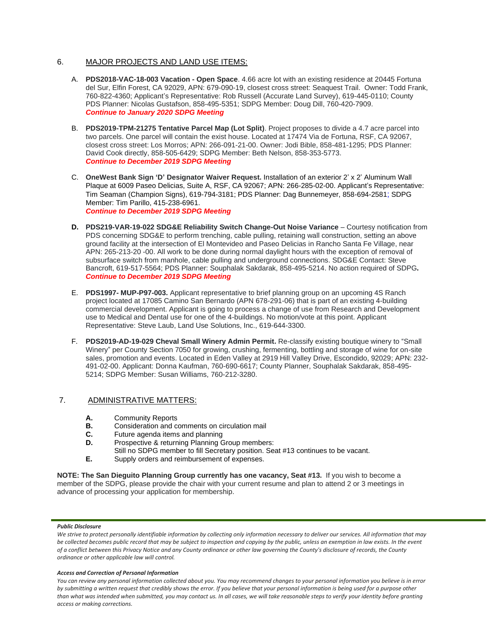# 6. MAJOR PROJECTS AND LAND USE ITEMS:

- A. **PDS2018-VAC-18-003 Vacation - Open Space**. 4.66 acre lot with an existing residence at 20445 Fortuna del Sur, Elfin Forest, CA 92029, APN: 679-090-19, closest cross street: Seaquest Trail. Owner: Todd Frank, 760-822-4360; Applicant's Representative: Rob Russell (Accurate Land Survey), 619-445-0110; County PDS Planner: Nicolas Gustafson, 858-495-5351; SDPG Member: Doug Dill, 760-420-7909. *Continue to January 2020 SDPG Meeting*
- B. **PDS2019-TPM-21275 Tentative Parcel Map (Lot Split)**. Project proposes to divide a 4.7 acre parcel into two parcels. One parcel will contain the exist house. Located at 17474 Via de Fortuna, RSF, CA 92067, closest cross street: Los Morros; APN: 266-091-21-00. Owner: Jodi Bible, 858-481-1295; PDS Planner: David Cook directly, 858-505-6429; SDPG Member: Beth Nelson, 858-353-5773. *Continue to December 2019 SDPG Meeting*
- C. **OneWest Bank Sign 'D' Designator Waiver Request.** Installation of an exterior 2' x 2' Aluminum Wall Plaque at 6009 Paseo Delicias, Suite A, RSF, CA 92067; APN: 266-285-02-00. Applicant's Representative: Tim Seaman (Champion Signs), 619-794-3181; PDS Planner: Dag Bunnemeyer, 858-694-2581; SDPG Member: Tim Parillo, 415-238-6961. *Continue to December 2019 SDPG Meeting*
- **D. PDS219-VAR-19-022 SDG&E Reliability Switch Change-Out Noise Variance** Courtesy notification from PDS concerning SDG&E to perform trenching, cable pulling, retaining wall construction, setting an above ground facility at the intersection of El Montevideo and Paseo Delicias in Rancho Santa Fe Village, near APN: 265-213-20 -00. All work to be done during normal daylight hours with the exception of removal of subsurface switch from manhole, cable pulling and underground connections. SDG&E Contact: Steve Bancroft, 619-517-5564; PDS Planner: Souphalak Sakdarak, 858-495-5214. No action required of SDPG**.** *Continue to December 2019 SDPG Meeting*
- E. **PDS1997- MUP-P97-003.** Applicant representative to brief planning group on an upcoming 4S Ranch project located at 17085 Camino San Bernardo (APN 678-291-06) that is part of an existing 4-building commercial development. Applicant is going to process a change of use from Research and Development use to Medical and Dental use for one of the 4-buildings. No motion/vote at this point. Applicant Representative: Steve Laub, Land Use Solutions, Inc., 619-644-3300.
- F. **PDS2019-AD-19-029 Cheval Small Winery Admin Permit.** Re-classify existing boutique winery to "Small Winery" per County Section 7050 for growing, crushing, fermenting, bottling and storage of wine for on-site sales, promotion and events. Located in Eden Valley at 2919 Hill Valley Drive, Escondido, 92029; APN: 232- 491-02-00. Applicant: Donna Kaufman, 760-690-6617; County Planner, Souphalak Sakdarak, 858-495- 5214; SDPG Member: Susan Williams, 760-212-3280.

# 7. ADMINISTRATIVE MATTERS:

- **A.** Community Reports
- **B.** Consideration and comments on circulation mail
- **C.** Future agenda items and planning
- **D.** Prospective & returning Planning Group members:
- Still no SDPG member to fill Secretary position. Seat #13 continues to be vacant. **E.** Supply orders and reimbursement of expenses.
- 

**NOTE: The San Dieguito Planning Group currently has one vacancy, Seat #13.** If you wish to become a member of the SDPG, please provide the chair with your current resume and plan to attend 2 or 3 meetings in advance of processing your application for membership.

## *Public Disclosure*

We strive to protect personally identifiable information by collecting only information necessary to deliver our services. All information that may *be collected becomes public record that may be subject to inspection and copying by the public, unless an exemption in law exists. In the event of a conflict between this Privacy Notice and any County ordinance or other law governing the County's disclosure of records, the County ordinance or other applicable law will control.*

# *Access and Correction of Personal Information*

*You can review any personal information collected about you. You may recommend changes to your personal information you believe is in error by submitting a written request that credibly shows the error. If you believe that your personal information is being used for a purpose other than what was intended when submitted, you may contact us. In all cases, we will take reasonable steps to verify your identity before granting access or making corrections.*